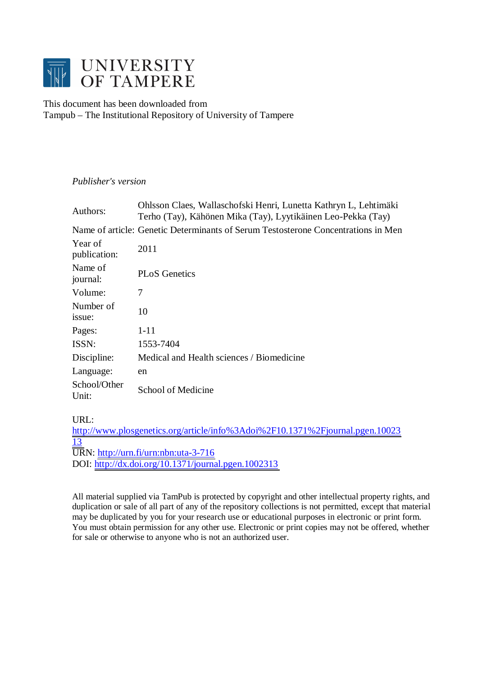

# This document has been downloaded from Tampub – The Institutional Repository of University of Tampere

# *Publisher's version*

| Authors:                | Ohlsson Claes, Wallaschofski Henri, Lunetta Kathryn L, Lehtimäki<br>Terho (Tay), Kähönen Mika (Tay), Lyytikäinen Leo-Pekka (Tay) |
|-------------------------|----------------------------------------------------------------------------------------------------------------------------------|
|                         | Name of article: Genetic Determinants of Serum Testosterone Concentrations in Men                                                |
| Year of<br>publication: | 2011                                                                                                                             |
| Name of<br>journal:     | <b>PLoS</b> Genetics                                                                                                             |
| Volume:                 | 7                                                                                                                                |
| Number of<br>issue:     | 10                                                                                                                               |
| Pages:                  | $1 - 11$                                                                                                                         |
| ISSN:                   | 1553-7404                                                                                                                        |
| Discipline:             | Medical and Health sciences / Biomedicine                                                                                        |
| Language:               | en                                                                                                                               |
| School/Other<br>Unit:   | School of Medicine                                                                                                               |

URL:

[http://www.plosgenetics.org/article/info%3Adoi%2F10.1371%2Fjournal.pgen.10023](http://www.plosgenetics.org/article/info%3Adoi%2F10.1371%2Fjournal.pgen.1002313) [13](http://www.plosgenetics.org/article/info%3Adoi%2F10.1371%2Fjournal.pgen.1002313) URN: <http://urn.fi/urn:nbn:uta-3-716> DOI: <http://dx.doi.org/10.1371/journal.pgen.1002313>

All material supplied via TamPub is protected by copyright and other intellectual property rights, and duplication or sale of all part of any of the repository collections is not permitted, except that material may be duplicated by you for your research use or educational purposes in electronic or print form. You must obtain permission for any other use. Electronic or print copies may not be offered, whether for sale or otherwise to anyone who is not an authorized user.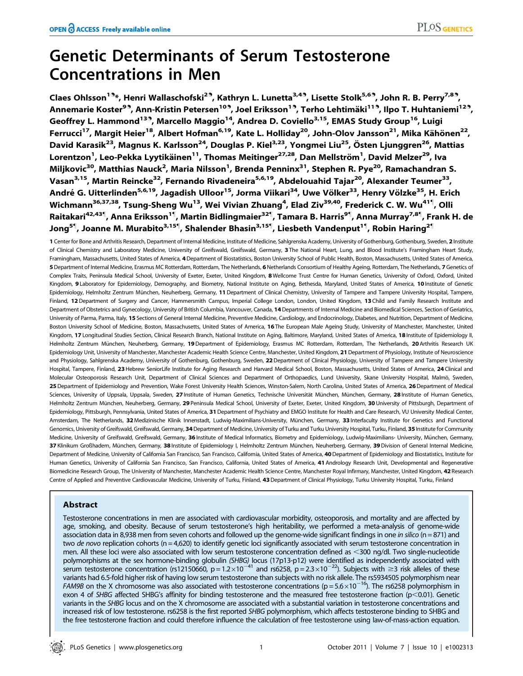# Genetic Determinants of Serum Testosterone Concentrations in Men

Claes Ohlsson<sup>1.9\*</sup>, Henri Wallaschofski<sup>2.9</sup>, Kathryn L. Lunetta<sup>3,4.9</sup>, Lisette Stolk<sup>5,6.9</sup>, John R. B. Perry<sup>7,8.9</sup>, Annemarie Koster<sup>9.</sup>, Ann-Kristin Petersen<sup>10.</sup>, Joel Eriksson<sup>1.</sup>, Terho Lehtimäki<sup>11.</sup>, Ilpo T. Huhtaniemi<sup>12.</sup>, Geoffrey L. Hammond<sup>139</sup>, Marcello Maggio<sup>14</sup>, Andrea D. Coviello<sup>3,15</sup>, EMAS Study Group<sup>16</sup>, Luigi Ferrucci<sup>17</sup>, Margit Heier<sup>18</sup>, Albert Hofman<sup>6,19</sup>, Kate L. Holliday<sup>20</sup>, John-Olov Jansson<sup>21</sup>, Mika Kähönen<sup>22</sup>, David Karasik<sup>23</sup>, Magnus K. Karlsson<sup>24</sup>, Douglas P. Kiel<sup>3,23</sup>, Yongmei Liu<sup>25</sup>, Östen Ljunggren<sup>26</sup>, Mattias Lorentzon<sup>1</sup>, Leo-Pekka Lyytikäinen<sup>11</sup>, Thomas Meitinger<sup>27,28</sup>, Dan Mellström<sup>1</sup>, David Melzer<sup>29</sup>, Iva Miljkovic<sup>30</sup>, Matthias Nauck<sup>2</sup>, Maria Nilsson<sup>1</sup>, Brenda Penninx<sup>31</sup>, Stephen R. Pye<sup>20</sup>, Ramachandran S. Vasan<sup>3,15</sup>, Martin Reincke<sup>32</sup>, Fernando Rivadeneira<sup>5,6,19</sup>, Abdelouahid Tajar<sup>20</sup>, Alexander Teumer<sup>33</sup>, André G. Uitterlinden<sup>5,6,19</sup>, Jagadish Ulloor<sup>15</sup>, Jorma Viikari<sup>34</sup>, Uwe Völker<sup>33</sup>, Henry Völzke<sup>35</sup>, H. Erich Wichmann<sup>36,37,38</sup>, Tsung-Sheng Wu<sup>13</sup>, Wei Vivian Zhuang<sup>4</sup>, Elad Ziv<sup>39,40</sup>, Frederick C. W. Wu<sup>41¶</sup>, Olli Raitakari<sup>42,43¶</sup>, Anna Eriksson<sup>1¶</sup>, Martin Bidlingmaier<sup>32¶</sup>, Tamara B. Harris<sup>9¶</sup>, Anna Murray<sup>7,8¶</sup>, Frank H. de Jong<sup>5¶</sup>, Joanne M. Murabito<sup>3,15¶</sup>, Shalender Bhasin<sup>3,15¶</sup>, Liesbeth Vandenput<sup>1¶</sup>, Robin Haring<sup>2¶</sup>

1 Center for Bone and Arthritis Research, Department of Internal Medicine, Institute of Medicine, Sahlgrenska Academy, University of Gothenburg, Gothenburg, Sweden, 2 Institute of Clinical Chemistry and Laboratory Medicine, University of Greifswald, Greifswald, Germany, 3 The National Heart, Lung, and Blood Institute's Framingham Heart Study, Framingham, Massachusetts, United States of America, 4Department of Biostatistics, Boston University School of Public Health, Boston, Massachusetts, United States of America, 5 Department of Internal Medicine, Erasmus MC Rotterdam, Rotterdam, The Netherlands, 6 Netherlands Consortium of Healthy Ageing, Rotterdam, The Netherlands, 7 Genetics of Complex Traits, Peninsula Medical School, University of Exeter, Exeter, United Kingdom, 8 Wellcome Trust Centre for Human Genetics, University of Oxford, Oxford, United Kingdom, 9Laboratory for Epidemiology, Demography, and Biometry, National Institute on Aging, Bethesda, Maryland, United States of America, 10 Institute of Genetic Epidemiology, Helmholtz Zentrum München, Neuherberg, Germany, 11 Department of Clinical Chemistry, University of Tampere and Tampere University Hospital, Tampere, Finland, 12 Department of Surgery and Cancer, Hammersmith Campus, Imperial College London, London, United Kingdom, 13 Child and Family Research Institute and Department of Obstetrics and Gynecology, University of British Columbia, Vancouver, Canada, 14 Departments of Internal Medicine and Biomedical Sciences, Section of Geriatrics, University of Parma, Parma, Italy, 15 Sections of General Internal Medicine, Preventive Medicine, Cardiology, and Endocrinology, Diabetes, and Nutrition, Department of Medicine, Boston University School of Medicine, Boston, Massachusetts, United States of America, 16 The European Male Ageing Study, University of Manchester, Manchester, United Kingdom, 17 Longitudinal Studies Section, Clinical Research Branch, National Institute on Aging, Baltimore, Maryland, United States of America, 18 Institute of Epidemiology II, Helmholtz Zentrum München, Neuherberg, Germany, 19 Department of Epidemiology, Erasmus MC Rotterdam, Rotterdam, The Netherlands, 20 Arthritis Research UK Epidemiology Unit, University of Manchester, Manchester Academic Health Science Centre, Manchester, United Kingdom, 21 Department of Physiology, Institute of Neuroscience and Physiology, Sahlgrenska Academy, University of Gothenburg, Gothenburg, Sweden, 22 Department of Clinical Physiology, University of Tampere and Tampere University Hospital, Tampere, Finland, 23 Hebrew SeniorLife Institute for Aging Research and Harvard Medical School, Boston, Massachusetts, United States of America, 24 Clinical and Molecular Osteoporosis Research Unit, Department of Clinical Sciences and Department of Orthopaedics, Lund University, Skane University Hospital, Malmö, Sweden, 25 Department of Epidemiology and Prevention, Wake Forest University Health Sciences, Winston-Salem, North Carolina, United States of America, 26 Department of Medical Sciences, University of Uppsala, Uppsala, Sweden, 27 Institute of Human Genetics, Technische Universität München, München, Germany, 28 Institute of Human Genetics, Helmholtz Zentrum München, Neuherberg, Germany, 29 Peninsula Medical School, University of Exeter, Exeter, United Kingdom, 30 University of Pittsburgh, Department of Epidemiology, Pittsburgh, Pennsylvania, United States of America, 31 Department of Psychiatry and EMGO Institute for Health and Care Research, VU University Medical Center, Amsterdam, The Netherlands, 32 Medizinische Klinik Innenstadt, Ludwig-Maximilians-University, München, Germany, 33 Interfaculty Institute for Genetics and Functional Genomics, University of Greifswald, Greifswald, Germany, 34 Department of Medicine, University of Turku and Turku University Hospital, Turku, Finland, 35 Institute for Community Medicine, University of Greifswald, Greifswald, Germany, 36 Institute of Medical Informatics, Biometry and Epidemiology, Ludwig-Maximilians- University, München, Germany, 37 Klinikum Großhadern, München, Germany, 38 Institute of Epidemiology I, Helmholtz Zentrum München, Neuherberg, Germany, 39 Division of General Internal Medicine, Department of Medicine, University of California San Francisco, San Francisco, California, United States of America, 40 Department of Epidemiology and Biostatistics, Institute for Human Genetics, University of California San Francisco, San Francisco, California, United States of America, 41 Andrology Research Unit, Developmental and Regenerative Biomedicine Research Group, The University of Manchester, Manchester Academic Health Science Centre, Manchester Royal Infirmary, Manchester, United Kingdom, 42 Research Centre of Applied and Preventive Cardiovascular Medicine, University of Turku, Finland, 43 Department of Clinical Physiology, Turku University Hospital, Turku, Finland

# Abstract

Testosterone concentrations in men are associated with cardiovascular morbidity, osteoporosis, and mortality and are affected by age, smoking, and obesity. Because of serum testosterone's high heritability, we performed a meta-analysis of genome-wide association data in 8,938 men from seven cohorts and followed up the genome-wide significant findings in one in silico (n = 871) and two de novo replication cohorts ( $n = 4,620$ ) to identify genetic loci significantly associated with serum testosterone concentration in men. All these loci were also associated with low serum testosterone concentration defined as  $<300$  ng/dl. Two single-nucleotide polymorphisms at the sex hormone-binding globulin (SHBG) locus (17p13-p12) were identified as independently associated with serum testosterone concentration (rs12150660, p = 1.2×10<sup>-41</sup> and rs6258, p = 2.3×10<sup>-22</sup>). Subjects with  $\geq$ 3 risk alleles of these variants had 6.5-fold higher risk of having low serum testosterone than subjects with no risk allele. The rs5934505 polymorphism near *FAM9B* on the X chromosome was also associated with testosterone concentrations ( $p = 5.6 \times 10^{-16}$ ). The rs6258 polymorphism in exon 4 of SHBG affected SHBG's affinity for binding testosterone and the measured free testosterone fraction ( $p$ <0.01). Genetic variants in the SHBG locus and on the X chromosome are associated with a substantial variation in testosterone concentrations and increased risk of low testosterone. rs6258 is the first reported SHBG polymorphism, which affects testosterone binding to SHBG and the free testosterone fraction and could therefore influence the calculation of free testosterone using law-of-mass-action equation.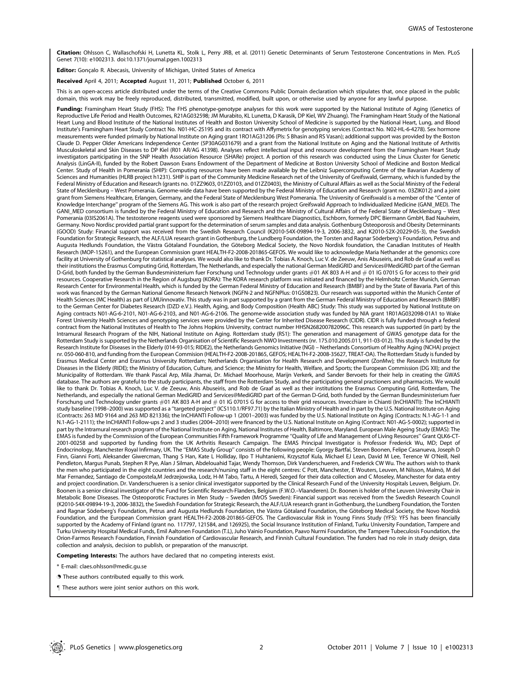Citation: Ohlsson C, Wallaschofski H, Lunetta KL, Stolk L, Perry JRB, et al. (2011) Genetic Determinants of Serum Testosterone Concentrations in Men. PLoS Genet 7(10): e1002313. doi:10.1371/journal.pgen.1002313

Editor: Gonçalo R. Abecasis, University of Michigan, United States of America

Received April 4, 2011; Accepted August 11, 2011; Published October 6, 2011

This is an open-access article distributed under the terms of the Creative Commons Public Domain declaration which stipulates that, once placed in the public domain, this work may be freely reproduced, distributed, transmitted, modified, built upon, or otherwise used by anyone for any lawful purpose.

Funding: Framingham Heart Study (FHS): The FHS phenotype-genotype analyses for this work were supported by the National Institute of Aging (Genetics of Reproductive Life Period and Health Outcomes, R21AG032598; JM Murabito, KL Lunetta, D Karasik, DP Kiel, WV Zhuang). The Framingham Heart Study of the National Heart Lung and Blood Institute of the National Institutes of Health and Boston University School of Medicine is supported by the National Heart, Lung, and Blood Institute's Framingham Heart Study Contract No. N01-HC-25195 and its contract with Affymetrix for genotyping services (Contract No. N02-HL-6-4278). Sex hormone measurements were funded primarily by National Institute on Aging grant 1RO1AG31206 (PIs: S Bhasin and RS Vasan); additional support was provided by the Boston Claude D. Pepper Older Americans Independence Center (5P30AG031679) and a grant from the National Institute on Aging and the National Institute of Arthritis Musculoskeletal and Skin Diseases to DP Kiel (R01 AR/AG 41398). Analyses reflect intellectual input and resource development from the Framingham Heart Study investigators participating in the SNP Health Association Resource (SHARe) project. A portion of this research was conducted using the Linux Cluster for Genetic Analysis (LinGA-II), funded by the Robert Dawson Evans Endowment of the Department of Medicine at Boston University School of Medicine and Boston Medical Center. Study of Health in Pomerania (SHIP): Computing resources have been made available by the Leibniz Supercomputing Centre of the Bavarian Academy of Sciences and Humanities (HLRB project h1231). SHIP is part of the Community Medicine Research net of the University of Greifswald, Germany, which is funded by the Federal Ministry of Education and Research (grants no. 01ZZ9603, 01ZZ0103, and 01ZZ0403), the Ministry of Cultural Affairs as well as the Social Ministry of the Federal State of Mecklenburg – West Pomerania. Genome-wide data have been supported by the Federal Ministry of Education and Research (grant no. 03ZIK012) and a joint grant from Siemens Healthcare, Erlangen, Germany, and the Federal State of Mecklenburg West Pomerania. The University of Greifswald is a member of the ''Center of Knowledge Interchange'' program of the Siemens AG. This work is also part of the research project Greifswald Approach to Individualized Medicine (GANI\_MED). The GANI\_MED consortium is funded by the Federal Ministry of Education and Research and the Ministry of Cultural Affairs of the Federal State of Mecklenburg – West Pomerania (03IS2061A). The testosterone reagents used were sponsored by Siemens Healthcare Diagnostics, Eschborn, formerly DPC Biermann GmbH, Bad Nauheim, Germany. Novo Nordisc provided partial grant support for the determination of serum samples and data analysis. Gothenburg Osteoporosis and Obesity Determinants (GOOD) Study: Financial support was received from the Swedish Research Council (K2010-54X-09894-19-3, 2006-3832, and K2010-52X-20229-05-3), the Swedish Foundation for Strategic Research, the ALF/LUA research grant in Gothenburg, the Lundberg Foundation, the Torsten and Ragnar Söderberg's Foundation, Petrus and Augusta Hedlunds Foundation, the Västra Götaland Foundation, the Göteborg Medical Society, the Novo Nordisk foundation, the Canadian Institutes of Health Research (MOP-15261), and the European Commission grant HEALTH-F2-2008-201865-GEFOS. We would like to acknowledge Maria Nethander at the genomics core facility at University of Gothenburg for statistical analyses. We would also like to thank Dr. Tobias A. Knoch, Luc V. de Zeeuw, Anis Abuseiris, and Rob de Graaf as well as their institutions the Erasmus Computing Grid, Rotterdam, The Netherlands, and especially the national German MediGRID and Services@MediGRID part of the German D-Grid, both funded by the German Bundesministerium fuer Forschung und Technology under grants #01 AK 803 A-H and # 01 IG 07015 G for access to their grid resources. Cooperative Research in the Region of Augsburg (KORA): The KORA research platform was initiated and financed by the Helmholtz Center Munich, German Research Center for Environmental Health, which is funded by the German Federal Ministry of Education and Research (BMBF) and by the State of Bavaria. Part of this work was financed by the German National Genome Research Network (NGFN-2 and NGFNPlus: 01GS0823). Our research was supported within the Munich Center of Health Sciences (MC Health) as part of LMUinnovativ. This study was in part supported by a grant from the German Federal Ministry of Education and Research (BMBF) to the German Center for Diabetes Research (DZD e.V.). Health, Aging, and Body Composition (Health ABC) Study: This study was supported by National Institute on<br>Aging contracts N01-AG-6-2101, N01-AG-6-2103, and N01-AG-6-21 Forest University Health Sciences and genotyping services were provided by the Center for Inherited Disease Research (CIDR). CIDR is fully funded through a federal contract from the National Institutes of Health to The Johns Hopkins University, contract number HHSN268200782096C. This research was supported (in part) by the Intramural Research Program of the NIH, National Institute on Aging. Rotterdam study (RS1): The generation and management of GWAS genotype data for the Rotterdam Study is supported by the Netherlands Organisation of Scientific Research NWO Investments (nr. 175.010.2005.011, 911-03-012). This study is funded by the Research Institute for Diseases in the Elderly (014-93-015; RIDE2), the Netherlands Genomics Initiative (NGI) – Netherlands Consortium of Healthy Aging (NCHA) project nr. 050-060-810, and funding from the European Commision (HEALTH-F2-2008-201865, GEFOS; HEALTH-F2-2008-35627, TREAT-OA). The Rotterdam Study is funded by Erasmus Medical Center and Erasmus University Rotterdam; Netherlands Organisation for Health Research and Development (ZonMw); the Research Institute for Diseases in the Elderly (RIDE); the Ministry of Education, Culture, and Science; the Ministry for Health, Welfare, and Sports; the European Commission (DG XII); and the Municipality of Rotterdam. We thank Pascal Arp, Mila Jhamai, Dr. Michael Moorhouse, Marijn Verkerk, and Sander Bervoets for their help in creating the GWAS database. The authors are grateful to the study participants, the staff from the Rotterdam Study, and the participating general practioners and pharmacists. We would like to thank Dr. Tobias A. Knoch, Luc V. de Zeeuw, Anis Abuseiris, and Rob de Graaf as well as their institutions the Erasmus Computing Grid, Rotterdam, The Netherlands, and especially the national German MediGRID and Services@MediGRID part of the German D-Grid, both funded by the German Bundesministerium fuer Forschung und Technology under grants #01 AK 803 A-H and # 01 IG 07015 G for access to their grid resources. Invecchiare in Chianti (InCHIANTI): The InCHIANTI<br>study baseline (1998–2000) was supported as a "targeted project (Contracts: 263 MD 9164 and 263 MD 821336); the InCHIANTI Follow-up 1 (2001–2003) was funded by the U.S. National Institute on Aging (Contracts: N.1-AG-1-1 and N.1-AG-1-2111); the InCHIANTI Follow-ups 2 and 3 studies (2004–2010) were financed by the U.S. National Institute on Aging (Contract: N01-AG-5-0002); supported in part by the Intramural research program of the National Institute on Aging, National Institutes of Health, Baltimore, Maryland. European Male Ageing Study (EMAS): The EMAS is funded by the Commission of the European Communities Fifth Framework Programme ''Quality of Life and Management of Living Resources'' Grant QLK6-CT-2001-00258 and supported by funding from the UK Arthritis Research Campaign. The EMAS Principal Investigator is Professor Frederick Wu, MD; Dept of Endocrinology, Manchester Royal Infirmary, UK. The ''EMAS Study Group'' consists of the following people: Gyorgy Bartfai, Steven Boonen, Felipe Casanueva, Joseph D Finn, Gianni Forti, Aleksander Giwercman, Thang S Han, Kate L Holliday, Ilpo T Huhtaniemi, Krzysztof Kula, Michael EJ Lean, David M Lee, Terence W O'Neill, Neil Pendleton, Margus Punab, Stephen R Pye, Alan J Silman, Abdelouahid Tajar, Wendy Thomson, Dirk Vanderschueren, and Frederick CW Wu. The authors wish to thank the men who participated in the eight countries and the research/nursing staff in the eight centres: C Pott, Manchester, E Wouters, Leuven, M Nilsson, Malmö, M del Mar Fernandez, Santiago de Compostela,M Jedrzejowska, Lodz, H-M Tabo, Tartu, A Heredi, Szeged for their data collection and C Moseley, Manchester for data entry and project coordination. Dr. Vanderschueren is a senior clinical investigator supported by the Clinical Research Fund of the University Hospitals Leuven, Belgium. Dr. Boonen is a senior clinical investigator of the Fund for Scientific Research-Flanders, Belgium (F.W.O.–Vlaanderen). Dr. Boonen is holder of the Leuven University Chair in Metabolic Bone Diseases. The Osteoporotic Fractures in Men Study - Sweden (MrOS Sweden): Financial support was received from the Swedish Research Council (K2010-54X-09894-19-3, 2006-3832), the Swedish Foundation for Strategic Research, the ALF/LUA research grant in Gothenburg, the Lundberg Foundation, the Torsten and Ragnar Söderberg's Foundation, Petrus and Augusta Hedlunds Foundation, the Västra Götaland Foundation, the Göteborg Medical Society, the Novo Nordisk Foundation, and the European Commission grant HEALTH-F2-2008-201865-GEFOS. The Cardiovascular Risk in Young Finns Study (YFS): YFS has been financially supported by the Academy of Finland (grant no. 117797, 121584, and 126925), the Social Insurance Institution of Finland, Turku University Foundation, Tampere and Turku University Hospital Medical Funds, Emil Aaltonen Foundation (T.L), Juho Vainio Foundation, Paavo Nurmi Foundation, the Tampere Tubeculosis Foundation, the Orion-Farmos Research Foundation, Finnish Foundation of Cardiovascular Research, and Finnish Cultural Foundation. The funders had no role in study design, data collection and analysis, decision to publish, or preparation of the manuscript.

Competing Interests: The authors have declared that no competing interests exist.

\* E-mail: claes.ohlsson@medic.gu.se

**.** These authors contributed equally to this work.

These authors were joint senior authors on this work.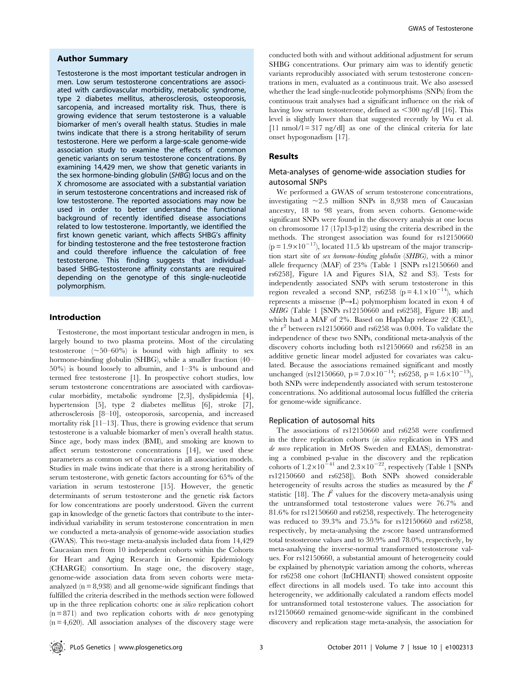#### Author Summary

Testosterone is the most important testicular androgen in men. Low serum testosterone concentrations are associated with cardiovascular morbidity, metabolic syndrome, type 2 diabetes mellitus, atherosclerosis, osteoporosis, sarcopenia, and increased mortality risk. Thus, there is growing evidence that serum testosterone is a valuable biomarker of men's overall health status. Studies in male twins indicate that there is a strong heritability of serum testosterone. Here we perform a large-scale genome-wide association study to examine the effects of common genetic variants on serum testosterone concentrations. By examining 14,429 men, we show that genetic variants in the sex hormone-binding globulin (SHBG) locus and on the X chromosome are associated with a substantial variation in serum testosterone concentrations and increased risk of low testosterone. The reported associations may now be used in order to better understand the functional background of recently identified disease associations related to low testosterone. Importantly, we identified the first known genetic variant, which affects SHBG's affinity for binding testosterone and the free testosterone fraction and could therefore influence the calculation of free testosterone. This finding suggests that individualbased SHBG-testosterone affinity constants are required depending on the genotype of this single-nucleotide polymorphism.

#### Introduction

Testosterone, the most important testicular androgen in men, is largely bound to two plasma proteins. Most of the circulating testosterone  $(\sim 50-60\%)$  is bound with high affinity to sex hormone-binding globulin (SHBG), while a smaller fraction (40– 50%) is bound loosely to albumin, and 1–3% is unbound and termed free testosterone [1]. In prospective cohort studies, low serum testosterone concentrations are associated with cardiovascular morbidity, metabolic syndrome [2,3], dyslipidemia [4], hypertension [5], type 2 diabetes mellitus [6], stroke [7], atherosclerosis [8–10], osteoporosis, sarcopenia, and increased mortality risk [11–13]. Thus, there is growing evidence that serum testosterone is a valuable biomarker of men's overall health status. Since age, body mass index (BMI), and smoking are known to affect serum testosterone concentrations [14], we used these parameters as common set of covariates in all association models. Studies in male twins indicate that there is a strong heritability of serum testosterone, with genetic factors accounting for 65% of the variation in serum testosterone [15]. However, the genetic determinants of serum testosterone and the genetic risk factors for low concentrations are poorly understood. Given the current gap in knowledge of the genetic factors that contribute to the interindividual variability in serum testosterone concentration in men we conducted a meta-analysis of genome-wide association studies (GWAS). This two-stage meta-analysis included data from 14,429 Caucasian men from 10 independent cohorts within the Cohorts for Heart and Aging Research in Genomic Epidemiology (CHARGE) consortium. In stage one, the discovery stage, genome-wide association data from seven cohorts were metaanalyzed  $(n = 8,938)$  and all genome-wide significant findings that fulfilled the criteria described in the methods section were followed up in the three replication cohorts: one in silico replication cohort  $(n = 871)$  and two replication cohorts with *de novo* genotyping  $(n = 4,620)$ . All association analyses of the discovery stage were

conducted both with and without additional adjustment for serum SHBG concentrations. Our primary aim was to identify genetic variants reproducibly associated with serum testosterone concentrations in men, evaluated as a continuous trait. We also assessed whether the lead single-nucleotide polymorphisms (SNPs) from the continuous trait analyses had a significant influence on the risk of having low serum testosterone, defined as  $\leq 300$  ng/dl [16]. This level is slightly lower than that suggested recently by Wu et al.  $[11 \text{ nmol/l} = 317 \text{ ng/dl}]$  as one of the clinical criteria for late onset hypogonadism [17].

#### Results

# Meta-analyses of genome-wide association studies for autosomal SNPs

We performed a GWAS of serum testosterone concentrations, investigating  $\sim$  2.5 million SNPs in 8,938 men of Caucasian ancestry, 18 to 98 years, from seven cohorts. Genome-wide significant SNPs were found in the discovery analysis at one locus on chromosome 17 (17p13-p12) using the criteria described in the methods. The strongest association was found for rs12150660  $(p=1.9\times10^{-17})$ , located 11.5 kb upstream of the major transcription start site of sex hormone-binding globulin (SHBG), with a minor allele frequency (MAF) of 23% (Table 1 [SNPs rs12150660 and rs6258], Figure 1A and Figures S1A, S2 and S3). Tests for independently associated SNPs with serum testosterone in this region revealed a second SNP, rs6258 (p =  $4.1 \times 10^{-14}$ ), which represents a missense  $(P\rightarrow L)$  polymorphism located in exon 4 of SHBG (Table 1 [SNPs rs12150660 and rs6258], Figure 1B) and which had a MAF of 2%. Based on HapMap release 22 (CEU), the  $r^2$  between rs12150660 and rs6258 was 0.004. To validate the independence of these two SNPs, conditional meta-analysis of the discovery cohorts including both rs12150660 and rs6258 in an additive genetic linear model adjusted for covariates was calculated. Because the associations remained significant and mostly unchanged (rs12150660, p =  $7.0 \times 10^{-14}$ ; rs6258, p =  $1.6 \times 10^{-13}$ ), both SNPs were independently associated with serum testosterone concentrations. No additional autosomal locus fulfilled the criteria for genome-wide significance.

#### Replication of autosomal hits

The associations of rs12150660 and rs6258 were confirmed in the three replication cohorts (in silico replication in YFS and de novo replication in MrOS Sweden and EMAS), demonstrating a combined p-value in the discovery and the replication cohorts of  $1.2\times10^{-41}$  and  $2.3\times10^{-22}$ , respectively (Table 1 [SNPs rs12150660 and rs6258]). Both SNPs showed considerable heterogeneity of results across the studies as measured by the  $I^2$ statistic [18]. The  $I^2$  values for the discovery meta-analysis using the untransformed total testosterone values were 76.7% and 81.6% for rs12150660 and rs6258, respectively. The heterogeneity was reduced to 39.3% and 75.5% for rs12150660 and rs6258, respectively, by meta-analysing the z-score based untransformed total testosterone values and to 30.9% and 78.0%, respectively, by meta-analysing the inverse-normal transformed testosterone values. For rs12150660, a substantial amount of heterogeneity could be explained by phenotypic variation among the cohorts, whereas for rs6258 one cohort (InCHIANTI) showed consistent opposite effect directions in all models used. To take into account this heterogeneity, we additionally calculated a random effects model for untransformed total testosterone values. The association for rs12150660 remained genome-wide significant in the combined discovery and replication stage meta-analysis, the association for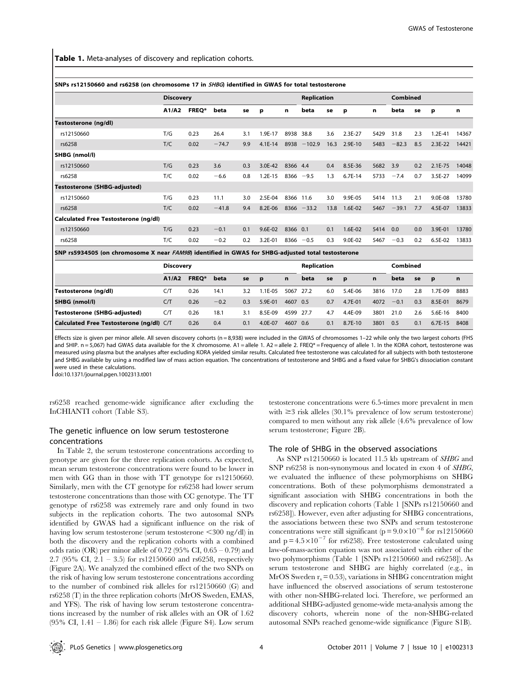Table 1. Meta-analyses of discovery and replication cohorts.

|                                                                                                    | <b>Discovery</b> |       |         |     |           | <b>Replication</b> |          |      |           | <b>Combined</b> |         |     |             |       |
|----------------------------------------------------------------------------------------------------|------------------|-------|---------|-----|-----------|--------------------|----------|------|-----------|-----------------|---------|-----|-------------|-------|
|                                                                                                    | A1/A2            | FREQ* | beta    | se  | р         | n                  | beta     | se   | р         | n               | beta    | se  | р           | n     |
| Testosterone (ng/dl)                                                                               |                  |       |         |     |           |                    |          |      |           |                 |         |     |             |       |
| rs12150660                                                                                         | T/G              | 0.23  | 26.4    | 3.1 | 1.9E-17   | 8938               | 38.8     | 3.6  | 2.3E-27   | 5429            | 31.8    | 2.3 | $1.2E - 41$ | 14367 |
| rs6258                                                                                             | T/C              | 0.02  | $-74.7$ | 9.9 | $4.1E-14$ | 8938               | $-102.9$ | 16.3 | 2.9E-10   | 5483            | $-82.3$ | 8.5 | $2.3E-22$   | 14421 |
| SHBG (nmol/l)                                                                                      |                  |       |         |     |           |                    |          |      |           |                 |         |     |             |       |
| rs12150660                                                                                         | T/G              | 0.23  | 3.6     | 0.3 | 3.0E-42   | 8366 4.4           |          | 0.4  | 8.5E-36   | 5682            | 3.9     | 0.2 | $2.1E - 75$ | 14048 |
| rs6258                                                                                             | T/C              | 0.02  | $-6.6$  | 0.8 | $1.2E-15$ | 8366               | $-9.5$   | 1.3  | $6.7E-14$ | 5733            | $-7.4$  | 0.7 | 3.5E-27     | 14099 |
| Testosterone (SHBG-adjusted)                                                                       |                  |       |         |     |           |                    |          |      |           |                 |         |     |             |       |
| rs12150660                                                                                         | T/G              | 0.23  | 11.1    | 3.0 | 2.5E-04   | 8366               | 11.6     | 3.0  | 9.9E-05   | 5414            | 11.3    | 2.1 | 9.0E-08     | 13780 |
| rs6258                                                                                             | T/C              | 0.02  | $-41.8$ | 9.4 | 8.2E-06   | 8366               | $-33.2$  | 13.8 | 1.6E-02   | 5467            | $-39.1$ | 7.7 | 4.5E-07     | 13833 |
| Calculated Free Testosterone (ng/dl)                                                               |                  |       |         |     |           |                    |          |      |           |                 |         |     |             |       |
| rs12150660                                                                                         | T/G              | 0.23  | $-0.1$  | 0.1 | 9.6E-02   | 8366 0.1           |          | 0.1  | 1.6E-02   | 5414            | 0.0     | 0.0 | 3.9E-01     | 13780 |
| rs6258                                                                                             | T/C              | 0.02  | $-0.2$  | 0.2 | 3.2E-01   | 8366               | $-0.5$   | 0.3  | 9.0E-02   | 5467            | $-0.3$  | 0.2 | 6.5E-02     | 13833 |
| SNP rs5934505 (on chromosome X near FAM9B) identified in GWAS for SHBG-adjusted total testosterone |                  |       |         |     |           |                    |          |      |           |                 |         |     |             |       |

Discovery Replication Combined A1/A2 FREQ\* beta se p n beta se p n beta se p n Testosterone (ng/dl) C/T 0.26 14.1 3.2 1.1E-05 5067 27.2 6.0 5.4E-06 3816 17.0 2.8 1.7E-09 8883 SHBG (nmol/l) C/T 0.26 20.2 0.3 5.9E-01 4607 0.5 0.7 4.7E-01 4072 20.1 0.3 8.5E-01 8679 Testosterone (SHBG-adjusted) C/T 0.26 18.1 3.1 8.5E-09 4599 27.7 4.7 4.4E-09 3801 21.0 2.6 5.6E-16 8400 Calculated Free Testosterone (ng/dl) C/T 0.26 0.4 0.1 4.0E-07 4607 0.6 0.1 8.7E-10 3801 0.5 0.1 6.7E-15 8408

Effects size is given per minor allele. All seven discovery cohorts (n = 8,938) were included in the GWAS of chromosomes 1–22 while only the two largest cohorts (FHS and SHIP. n = 5,067) had GWAS data available for the X chromosome. A1 = allele 1. A2 = allele 2. FREQ\* = Frequency of allele 1. In the KORA cohort, testosterone was measured using plasma but the analyses after excluding KORA yielded similar results. Calculated free testosterone was calculated for all subjects with both testosterone and SHBG available by using a modified law of mass action equation. The concentrations of testosterone and SHBG and a fixed value for SHBG's dissociation constant were used in these calculations.

doi:10.1371/journal.pgen.1002313.t001

rs6258 reached genome-wide significance after excluding the InCHIANTI cohort (Table S3).

## The genetic influence on low serum testosterone concentrations

In Table 2, the serum testosterone concentrations according to genotype are given for the three replication cohorts. As expected, mean serum testosterone concentrations were found to be lower in men with GG than in those with TT genotype for rs12150660. Similarly, men with the CT genotype for rs6258 had lower serum testosterone concentrations than those with CC genotype. The TT genotype of rs6258 was extremely rare and only found in two subjects in the replication cohorts. The two autosomal SNPs identified by GWAS had a significant influence on the risk of having low serum testosterone (serum testosterone  $\langle 300 \text{ ng/dl} \rangle$  in both the discovery and the replication cohorts with a combined odds ratio (OR) per minor allele of 0.72 (95% CI,  $0.65 - 0.79$ ) and 2.7 (95% CI, 2.1 – 3.5) for rs12150660 and rs6258, respectively (Figure 2A). We analyzed the combined effect of the two SNPs on the risk of having low serum testosterone concentrations according to the number of combined risk alleles for rs12150660 (G) and rs6258 (T) in the three replication cohorts (MrOS Sweden, EMAS, and YFS). The risk of having low serum testosterone concentrations increased by the number of risk alleles with an OR of 1.62 (95% CI,  $1.41 - 1.86$ ) for each risk allele (Figure S4). Low serum testosterone concentrations were 6.5-times more prevalent in men with  $\geq$ 3 risk alleles (30.1% prevalence of low serum testosterone) compared to men without any risk allele (4.6% prevalence of low serum testosterone; Figure 2B).

#### The role of SHBG in the observed associations

As SNP rs12150660 is located 11.5 kb upstream of SHBG and SNP rs6258 is non-synonymous and located in exon 4 of SHBG, we evaluated the influence of these polymorphisms on SHBG concentrations. Both of these polymorphisms demonstrated a significant association with SHBG concentrations in both the discovery and replication cohorts (Table 1 [SNPs rs12150660 and rs6258]). However, even after adjusting for SHBG concentrations, the associations between these two SNPs and serum testosterone concentrations were still significant ( $p = 9.0 \times 10^{-8}$  for rs12150660 and  $p = 4.5 \times 10^{-7}$  for rs6258). Free testosterone calculated using law-of-mass-action equation was not associated with either of the two polymorphisms (Table 1 [SNPs rs12150660 and rs6258]). As serum testosterone and SHBG are highly correlated (e.g., in MrOS Sweden  $r_s = 0.53$ ), variations in SHBG concentration might have influenced the observed associations of serum testosterone with other non-SHBG-related loci. Therefore, we performed an additional SHBG-adjusted genome-wide meta-analysis among the discovery cohorts, wherein none of the non-SHBG-related autosomal SNPs reached genome-wide significance (Figure S1B).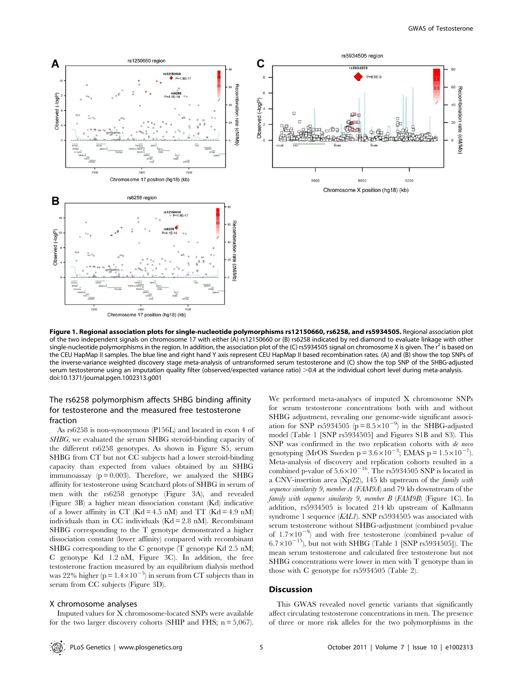

Chromosome 17 position (hg18) (kb)

Figure 1. Regional association plots for single-nucleotide polymorphisms rs12150660, rs6258, and rs5934505. Regional association plot of the two independent signals on chromosome 17 with either (A) rs12150660 or (B) rs6258 indicated by red diamond to evaluate linkage with other single-nucleotide polymorphisms in the region. In addition, the association plot of the (C) rs5934505 signal on chromosome X is given. The  $r<sup>2</sup>$  is based on the CEU HapMap II samples. The blue line and right hand Y axis represent CEU HapMap II based recombination rates. (A) and (B) show the top SNPs of the inverse-variance weighted discovery stage meta-analysis of untransformed serum testosterone and (C) show the top SNP of the SHBG-adjusted serum testosterone using an imputation quality filter (observed/expected variance ratio) >0.4 at the individual cohort level during meta-analysis. doi:10.1371/journal.pgen.1002313.g001

# The rs6258 polymorphism affects SHBG binding affinity for testosterone and the measured free testosterone fraction

As rs6258 is non-synonymous (P156L) and located in exon 4 of SHBG, we evaluated the serum SHBG steroid-binding capacity of the different rs6258 genotypes. As shown in Figure S5, serum SHBG from CT but not CC subjects had a lower steroid-binding capacity than expected from values obtained by an SHBG immunoassay  $(p = 0.003)$ . Therefore, we analyzed the SHBG affinity for testosterone using Scatchard plots of SHBG in serum of men with the rs6258 genotype (Figure 3A), and revealed (Figure 3B) a higher mean dissociation constant (Kd) indicative of a lower affinity in CT ( $Kd = 4.5$  nM) and TT ( $Kd = 4.9$  nM) individuals than in CC individuals (Kd = 2.8 nM). Recombinant SHBG corresponding to the T genotype demonstrated a higher dissociation constant (lower affinity) compared with recombinant SHBG corresponding to the C genotype (T genotype Kd 2.5 nM; C genotype Kd 1.2 nM, Figure 3C). In addition, the free testosterone fraction measured by an equilibrium dialysis method was 22% higher ( $p = 1.4 \times 10^{-5}$ ) in serum from CT subjects than in serum from CC subjects (Figure 3D).

#### X chromosome analyses

Imputed values for X chromosome-located SNPs were available for the two larger discovery cohorts (SHIP and FHS;  $n = 5,067$ ).

We performed meta-analyses of imputed X chromosome SNPs for serum testosterone concentrations both with and without SHBG adjustment, revealing one genome-wide significant association for SNP rs5934505 ( $\bar{p} = 8.5 \times 10^{-9}$ ) in the SHBG-adjusted model (Table 1 [SNP rs5934505] and Figures S1B and S3). This SNP was confirmed in the two replication cohorts with de novo genotyping (MrOS Sweden p =  $3.6 \times 10^{-3}$ ; EMAS p =  $1.5 \times 10^{-7}$ ). Meta-analysis of discovery and replication cohorts resulted in a combined p-value of  $5.6\times10^{-16}$ . The rs5934505 SNP is located in a CNV-insertion area (Xp22), 145 kb upstream of the family with sequence similarity 9, member A (FAM9A) and 79 kb downstream of the family with sequence similarity 9, member B (FAM9B) (Figure 1C). In addition, rs5934505 is located 214 kb upstream of Kallmann syndrome 1 sequence (KAL1). SNP rs5934505 was associated with serum testosterone without SHBG-adjustment (combined p-value of  $1.7\times10^{-9}$ ) and with free testosterone (combined p-value of  $6.7\times10^{-15}$ ), but not with SHBG (Table 1 [SNP rs5934505]). The mean serum testosterone and calculated free testosterone but not SHBG concentrations were lower in men with T genotype than in those with C genotype for rs5934505 (Table 2).

#### **Discussion**

This GWAS revealed novel genetic variants that significantly affect circulating testosterone concentrations in men. The presence of three or more risk alleles for the two polymorphisms in the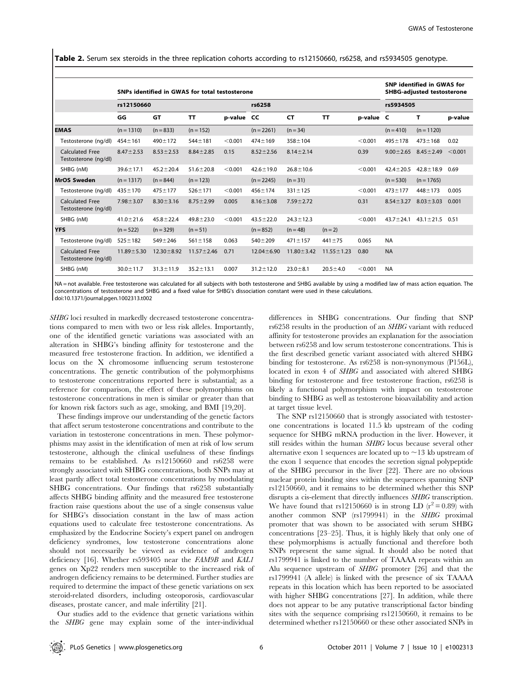Table 2. Serum sex steroids in the three replication cohorts according to rs12150660, rs6258, and rs5934505 genotype.

|                                                | SNPs identified in GWAS for total testosterone |                  |                  |            |                  |                  |                  |           |                 | <b>SNP identified in GWAS for</b><br><b>SHBG-adjusted testosterone</b> |         |  |  |
|------------------------------------------------|------------------------------------------------|------------------|------------------|------------|------------------|------------------|------------------|-----------|-----------------|------------------------------------------------------------------------|---------|--|--|
|                                                | rs12150660                                     |                  |                  |            | rs6258           |                  | rs5934505        |           |                 |                                                                        |         |  |  |
|                                                | GG                                             | <b>GT</b>        | <b>TT</b>        | p-value CC |                  | <b>CT</b>        | <b>TT</b>        | p-value C |                 | т                                                                      | p-value |  |  |
| <b>EMAS</b>                                    | $(n = 1310)$                                   | $(n = 833)$      | $(n = 152)$      |            | $(n = 2261)$     | $(n = 34)$       |                  |           | $(n = 410)$     | $(n = 1120)$                                                           |         |  |  |
| Testosterone (ng/dl)                           | $454 + 161$                                    | $490 \pm 172$    | $544 \pm 181$    | < 0.001    | $474 \pm 169$    | $358 \pm 104$    |                  | < 0.001   | $495 \pm 178$   | $473 \pm 168$                                                          | 0.02    |  |  |
| <b>Calculated Free</b><br>Testosterone (ng/dl) | $8.47 \pm 2.53$                                | $8.53 \pm 2.53$  | $8.84 \pm 2.85$  | 0.15       | $8.52 \pm 2.56$  | $8.14 \pm 2.14$  |                  | 0.39      | $9.00 \pm 2.65$ | $8.45 \pm 2.49$                                                        | < 0.001 |  |  |
| SHBG (nM)                                      | $39.6 \pm 17.1$                                | $45.2 \pm 20.4$  | $51.6 \pm 20.8$  | < 0.001    | $42.6 \pm 19.0$  | $26.8 \pm 10.6$  |                  | < 0.001   | $42.4 \pm 20.5$ | $42.8 \pm 18.9$                                                        | 0.69    |  |  |
| <b>MrOS Sweden</b>                             | $(n = 1317)$                                   | $(n = 844)$      | $(n = 123)$      |            | $(n = 2245)$     | $(n = 31)$       |                  |           | $(n = 530)$     | $(n = 1765)$                                                           |         |  |  |
| Testosterone (ng/dl)                           | $435 + 170$                                    | $475 + 177$      | $526 \pm 171$    | < 0.001    | $456 + 174$      | $331 \pm 125$    |                  | < 0.001   | $473 \pm 177$   | $448 + 173$                                                            | 0.005   |  |  |
| <b>Calculated Free</b><br>Testosterone (ng/dl) | $7.98 \pm 3.07$                                | $8.30 \pm 3.16$  | $8.75 \pm 2.99$  | 0.005      | $8.16 \pm 3.08$  | $7.59 \pm 2.72$  |                  | 0.31      | $8.54 \pm 3.27$ | $8.03 \pm 3.03$                                                        | 0.001   |  |  |
| SHBG (nM)                                      | $41.0 \pm 21.6$                                | $45.8 \pm 22.4$  | $49.8 \pm 23.0$  | < 0.001    | $43.5 \pm 22.0$  | $24.3 \pm 12.3$  |                  | < 0.001   | $43.7 \pm 24.1$ | $43.1 \pm 21.5$                                                        | 0.51    |  |  |
| <b>YFS</b>                                     | $(n = 522)$                                    | $(n = 329)$      | $(n = 51)$       |            | $(n = 852)$      | $(n = 48)$       | $(n = 2)$        |           |                 |                                                                        |         |  |  |
| Testosterone (ng/dl)                           | $525 \pm 182$                                  | $549 + 246$      | $561 \pm 158$    | 0.063      | $540 \pm 209$    | $471 \pm 157$    | $441 \pm 75$     | 0.065     | <b>NA</b>       |                                                                        |         |  |  |
| <b>Calculated Free</b><br>Testosterone (ng/dl) | $11.89 \pm 5.30$                               | $12.30 \pm 8.92$ | $11.57 \pm 2.46$ | 0.71       | $12.04 \pm 6.90$ | $11.80 \pm 3.42$ | $11.55 \pm 1.23$ | 0.80      | <b>NA</b>       |                                                                        |         |  |  |
| SHBG (nM)                                      | $30.0 \pm 11.7$                                | $31.3 \pm 11.9$  | $35.2 \pm 13.1$  | 0.007      | $31.2 \pm 12.0$  | $23.0 + 8.1$     | $20.5 \pm 4.0$   | < 0.001   | <b>NA</b>       |                                                                        |         |  |  |

NA = not available. Free testosterone was calculated for all subjects with both testosterone and SHBG available by using a modified law of mass action equation. The concentrations of testosterone and SHBG and a fixed value for SHBG's dissociation constant were used in these calculations. doi:10.1371/journal.pgen.1002313.t002

SHBG loci resulted in markedly decreased testosterone concentrations compared to men with two or less risk alleles. Importantly, one of the identified genetic variations was associated with an alteration in SHBG's binding affinity for testosterone and the measured free testosterone fraction. In addition, we identified a locus on the X chromosome influencing serum testosterone concentrations. The genetic contribution of the polymorphisms to testosterone concentrations reported here is substantial; as a reference for comparison, the effect of these polymorphisms on testosterone concentrations in men is similar or greater than that for known risk factors such as age, smoking, and BMI [19,20].

These findings improve our understanding of the genetic factors that affect serum testosterone concentrations and contribute to the variation in testosterone concentrations in men. These polymorphisms may assist in the identification of men at risk of low serum testosterone, although the clinical usefulness of these findings remains to be established. As rs12150660 and rs6258 were strongly associated with SHBG concentrations, both SNPs may at least partly affect total testosterone concentrations by modulating SHBG concentrations. Our findings that rs6258 substantially affects SHBG binding affinity and the measured free testosterone fraction raise questions about the use of a single consensus value for SHBG's dissociation constant in the law of mass action equations used to calculate free testosterone concentrations. As emphasized by the Endocrine Society's expert panel on androgen deficiency syndromes, low testosterone concentrations alone should not necessarily be viewed as evidence of androgen deficiency [16]. Whether rs593405 near the FAM9B and KAL1 genes on Xp22 renders men susceptible to the increased risk of androgen deficiency remains to be determined. Further studies are required to determine the impact of these genetic variations on sex steroid-related disorders, including osteoporosis, cardiovascular diseases, prostate cancer, and male infertility [21].

Our studies add to the evidence that genetic variations within the SHBG gene may explain some of the inter-individual

differences in SHBG concentrations. Our finding that SNP rs6258 results in the production of an SHBG variant with reduced affinity for testosterone provides an explanation for the association between rs6258 and low serum testosterone concentrations. This is the first described genetic variant associated with altered SHBG binding for testosterone. As rs6258 is non-synonymous (P156L), located in exon 4 of SHBG and associated with altered SHBG binding for testosterone and free testosterone fraction, rs6258 is likely a functional polymorphism with impact on testosterone binding to SHBG as well as testosterone bioavailability and action at target tissue level.

The SNP rs12150660 that is strongly associated with testosterone concentrations is located 11.5 kb upstream of the coding sequence for SHBG mRNA production in the liver. However, it still resides within the human SHBG locus because several other alternative exon 1 sequences are located up to  $\sim$  13 kb upstream of the exon 1 sequence that encodes the secretion signal polypeptide of the SHBG precursor in the liver [22]. There are no obvious nuclear protein binding sites within the sequences spanning SNP rs12150660, and it remains to be determined whether this SNP disrupts a cis-element that directly influences SHBG transcription. We have found that rs12150660 is in strong LD  $(r^2 = 0.89)$  with another common SNP (rs1799941) in the SHBG proximal promoter that was shown to be associated with serum SHBG concentrations [23–25]. Thus, it is highly likely that only one of these polymorphisms is actually functional and therefore both SNPs represent the same signal. It should also be noted that rs1799941 is linked to the number of TAAAA repeats within an Alu sequence upstream of SHBG promoter [26] and that the rs1799941 (A allele) is linked with the presence of six TAAAA repeats in this location which has been reported to be associated with higher SHBG concentrations [27]. In addition, while there does not appear to be any putative transcriptional factor binding sites with the sequence comprising rs12150660, it remains to be determined whether rs12150660 or these other associated SNPs in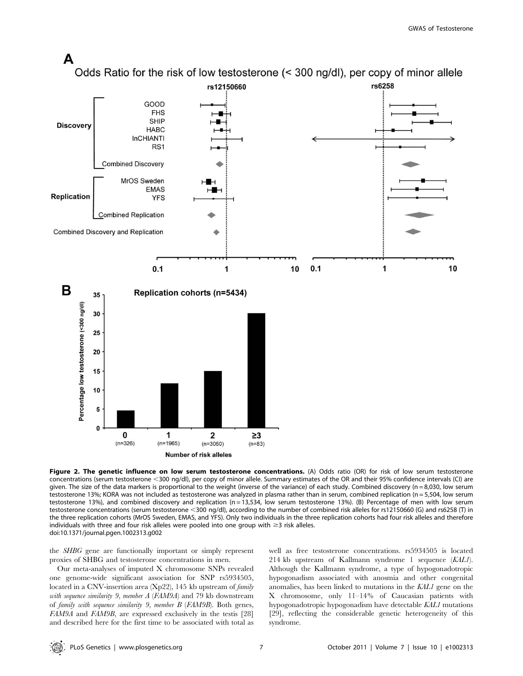

Figure 2. The genetic influence on low serum testosterone concentrations. (A) Odds ratio (OR) for risk of low serum testosterone concentrations (serum testosterone <300 ng/dl), per copy of minor allele. Summary estimates of the OR and their 95% confidence intervals (CI) are given. The size of the data markers is proportional to the weight (inverse of the variance) of each study. Combined discovery (n = 8,030, low serum testosterone 13%; KORA was not included as testosterone was analyzed in plasma rather than in serum, combined replication (n = 5,504, low serum testosterone 13%), and combined discovery and replication (n = 13,534, low serum testosterone 13%). (B) Percentage of men with low serum testosterone concentrations (serum testosterone <300 ng/dl), according to the number of combined risk alleles for rs12150660 (G) and rs6258 (T) in the three replication cohorts (MrOS Sweden, EMAS, and YFS). Only two individuals in the three replication cohorts had four risk alleles and therefore individuals with three and four risk alleles were pooled into one group with  $\geq$ 3 risk alleles. doi:10.1371/journal.pgen.1002313.g002

the SHBG gene are functionally important or simply represent proxies of SHBG and testosterone concentrations in men.

Our meta-analyses of imputed X chromosome SNPs revealed one genome-wide significant association for SNP rs5934505, located in a CNV-insertion area (Xp22), 145 kb upstream of family with sequence similarity 9, member A (FAM9A) and 79 kb downstream of family with sequence similarity 9, member B (FAM9B). Both genes, FAM9A and FAM9B, are expressed exclusively in the testis [28] and described here for the first time to be associated with total as well as free testosterone concentrations. rs5934505 is located 214 kb upstream of Kallmann syndrome 1 sequence (KAL1). Although the Kallmann syndrome, a type of hypogonadotropic hypogonadism associated with anosmia and other congenital anomalies, has been linked to mutations in the KAL1 gene on the X chromosome, only 11–14% of Caucasian patients with hypogonadotropic hypogonadism have detectable KAL1 mutations [29], reflecting the considerable genetic heterogeneity of this syndrome.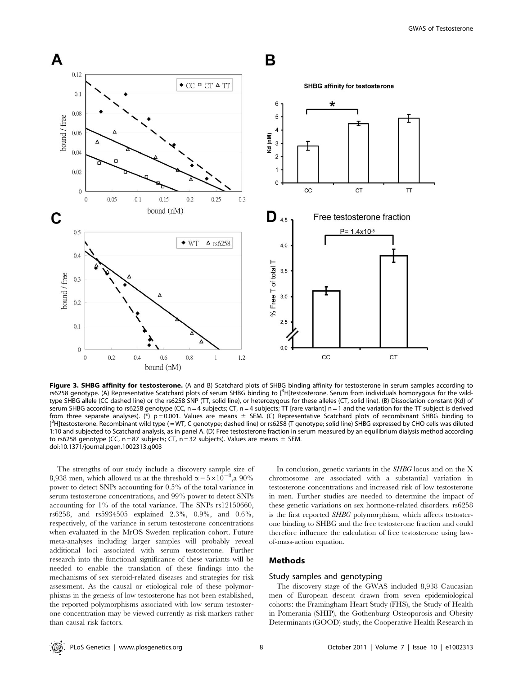

Figure 3. SHBG affinity for testosterone. (A and B) Scatchard plots of SHBG binding affinity for testosterone in serum samples according to rs6258 genotype. (A) Representative Scatchard plots of serum SHBG binding to [<sup>3</sup>H]testosterone. Serum from individuals homozygous for the wildtype SHBG allele (CC dashed line) or the rs6258 SNP (TT, solid line), or heterozygous for these alleles (CT, solid line). (B) Dissociation constant (Kd) of serum SHBG according to rs6258 genotype (CC, n = 4 subjects; CT, n = 4 subjects; TT [rare variant] n = 1 and the variation for the TT subject is derived from three separate analyses). (\*)  $p = 0.001$ . Values are means  $\pm$  SEM. (C) Representative Scatchard plots of recombinant SHBG binding to [<sup>3</sup>H]testosterone. Recombinant wild type (=WT, C genotype; dashed line) or rs6258 (T genotype; solid line) SHBG expressed by CHO cells was diluted 1:10 and subjected to Scatchard analysis, as in panel A. (D) Free testosterone fraction in serum measured by an equilibrium dialysis method according to rs6258 genotype (CC,  $n = 87$  subjects; CT,  $n = 32$  subjects). Values are means  $\pm$  SEM. doi:10.1371/journal.pgen.1002313.g003

The strengths of our study include a discovery sample size of 8,938 men, which allowed us at the threshold  $\alpha = 5 \times 10^{-8}$ , a 90% power to detect SNPs accounting for 0.5% of the total variance in serum testosterone concentrations, and 99% power to detect SNPs accounting for 1% of the total variance. The SNPs rs12150660, rs6258, and rs5934505 explained 2.3%, 0.9%, and 0.6%, respectively, of the variance in serum testosterone concentrations when evaluated in the MrOS Sweden replication cohort. Future meta-analyses including larger samples will probably reveal additional loci associated with serum testosterone. Further research into the functional significance of these variants will be needed to enable the translation of these findings into the mechanisms of sex steroid-related diseases and strategies for risk assessment. As the causal or etiological role of these polymorphisms in the genesis of low testosterone has not been established, the reported polymorphisms associated with low serum testosterone concentration may be viewed currently as risk markers rather than causal risk factors.

In conclusion, genetic variants in the SHBG locus and on the X chromosome are associated with a substantial variation in testosterone concentrations and increased risk of low testosterone in men. Further studies are needed to determine the impact of these genetic variations on sex hormone-related disorders. rs6258 is the first reported SHBG polymorphism, which affects testosterone binding to SHBG and the free testosterone fraction and could therefore influence the calculation of free testosterone using lawof-mass-action equation.

## Methods

### Study samples and genotyping

The discovery stage of the GWAS included 8,938 Caucasian men of European descent drawn from seven epidemiological cohorts: the Framingham Heart Study (FHS), the Study of Health in Pomerania (SHIP), the Gothenburg Osteoporosis and Obesity Determinants (GOOD) study, the Cooperative Health Research in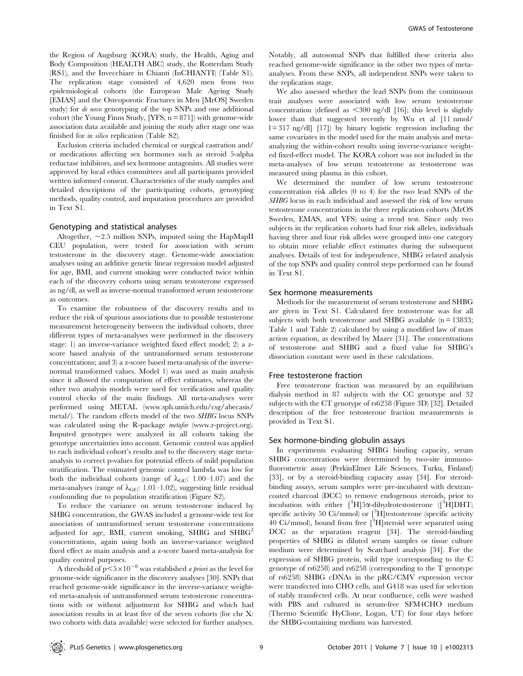the Region of Augsburg (KORA) study, the Health, Aging and Body Composition (HEALTH ABC) study, the Rotterdam Study (RS1), and the Invecchiare in Chianti (InCHIANTI) (Table S1). The replication stage consisted of 4,620 men from two epidemiological cohorts (the European Male Ageing Study [EMAS] and the Osteoporotic Fractures in Men [MrOS] Sweden study) for de novo genotyping of the top SNPs and one additional cohort (the Young Finns Study,  $[YFS, n = 871]$ ) with genome-wide association data available and joining the study after stage one was finished for in silico replication (Table S2).

Exclusion criteria included chemical or surgical castration and/ or medications affecting sex hormones such as steroid 5-alpha reductase inhibitors, and sex hormone antagonists. All studies were approved by local ethics committees and all participants provided written informed consent. Characteristics of the study samples and detailed descriptions of the participating cohorts, genotyping methods, quality control, and imputation procedures are provided in Text S1.

#### Genotyping and statistical analyses

Altogether,  $\sim$ 2.5 million SNPs, imputed using the HapMapII CEU population, were tested for association with serum testosterone in the discovery stage. Genome-wide association analyses using an additive genetic linear regression model adjusted for age, BMI, and current smoking were conducted twice within each of the discovery cohorts using serum testosterone expressed as ng/dl, as well as inverse-normal transformed serum testosterone as outcomes.

To examine the robustness of the discovery results and to reduce the risk of spurious associations due to possible testosterone measurement heterogeneity between the individual cohorts, three different types of meta-analyses were performed in the discovery stage: 1) an inverse-variance weighted fixed effect model; 2) a zscore based analysis of the untransformed serum testosterone concentrations; and 3) a z-score based meta-analysis of the inversenormal transformed values. Model 1) was used as main analysis since it allowed the computation of effect estimates, whereas the other two analysis models were used for verification and quality control checks of the main findings. All meta-analyses were performed using METAL (www.sph.umich.edu/csg/abecasis/ metal/). The random effects model of the two SHBG locus SNPs was calculated using the R-package *metafor* (www.r-project.org). Imputed genotypes were analyzed in all cohorts taking the genotype uncertainties into account. Genomic control was applied to each individual cohort's results and to the discovery stage metaanalysis to correct p-values for potential effects of mild population stratification. The estimated genomic control lambda was low for both the individual cohorts (range of  $\lambda_{\text{GC}}$ : 1.00–1.07) and the meta-analyses (range of  $\lambda_{\text{GC}}$ : 1.01–1.02), suggesting little residual confounding due to population stratification (Figure S2).

To reduce the variance on serum testosterone induced by SHBG concentration, the GWAS included a genome-wide test for association of untransformed serum testosterone concentrations adjusted for age, BMI, current smoking, SHBG and  $SHBG<sup>2</sup>$ concentrations, again using both an inverse-variance weighted fixed effect as main analysis and a z-score based meta-analysis for quality control purposes.

A threshold of  $p<5\times10^{-8}$  was established *a priori* as the level for genome-wide significance in the discovery analyses [30]. SNPs that reached genome-wide significance in the inverse-variance weighted meta-analysis of untransformed serum testosterone concentrations with or without adjustment for SHBG and which had association results in at least five of the seven cohorts (for chr X: two cohorts with data available) were selected for further analyses. Notably, all autosomal SNPs that fulfilled these criteria also reached genome-wide significance in the other two types of metaanalyses. From these SNPs, all independent SNPs were taken to the replication stage.

We also assessed whether the lead SNPs from the continuous trait analyses were associated with low serum testosterone concentration (defined as  $\langle 300 \rangle$  ng/dl [16]; this level is slightly lower than that suggested recently by Wu et al [11 nmol/  $l = 317$  ng/dl] [17]) by binary logistic regression including the same covariates in the model used for the main analysis and metaanalyzing the within-cohort results using inverse-variance weighted fixed-effect model. The KORA cohort was not included in the meta-analyses of low serum testosterone as testosterone was measured using plasma in this cohort.

We determined the number of low serum testosterone concentration risk alleles (0 to 4) for the two lead SNPs of the SHBG locus in each individual and assessed the risk of low serum testosterone concentrations in the three replication cohorts (MrOS Sweden, EMAS, and YFS) using a trend test. Since only two subjects in the replication cohorts had four risk alleles, individuals having three and four risk alleles were grouped into one category to obtain more reliable effect estimates during the subsequent analyses. Details of test for independence, SHBG related analysis of the top SNPs and quality control steps performed can be found in Text S1.

#### Sex hormone measurements

Methods for the measurement of serum testosterone and SHBG are given in Text S1. Calculated free testosterone was for all subjects with both testosterone and SHBG available  $(n = 13833)$ ; Table 1 and Table 2) calculated by using a modified law of mass action equation, as described by Mazer [31]. The concentrations of testosterone and SHBG and a fixed value for SHBG's dissociation constant were used in these calculations.

#### Free testosterone fraction

Free testosterone fraction was measured by an equilibrium dialysis method in 87 subjects with the CC genotype and 32 subjects with the CT genotype of rs6258 (Figure 3D) [32]. Detailed description of the free testosterone fraction measurements is provided in Text S1.

#### Sex hormone-binding globulin assays

In experiments evaluating SHBG binding capacity, serum SHBG concentrations were determined by two-site immunofluorometric assay (PerkinElmer Life Sciences, Turku, Finland) [33], or by a steroid-binding capacity assay [34]. For steroidbinding assays, serum samples were pre-incubated with dextrancoated charcoal (DCC) to remove endogenous steroids, prior to incubation with either  $[^{3}H]$ 5 $\alpha$ -dihydrotestosterone  $([^{3}H]$ DHT; specific activity 50 Ci/mmol) or [<sup>3</sup>H]testosterone (specific activity 40 Ci/mmol), bound from free [3H]steroid were separated using DCC as the separation reagent [34]. The steroid-binding properties of SHBG in diluted serum samples or tissue culture medium were determined by Scatchard analysis [34]. For the expression of SHBG protein, wild type (corresponding to the C genotype of rs6258) and rs6258 (corresponding to the T genotype of rs6258) SHBG cDNAs in the pRC/CMV expression vector were transfected into CHO cells, and G418 was used for selection of stably transfected cells. At near confluence, cells were washed with PBS and cultured in serum-free SFM4CHO medium (Thermo Scientific HyClone, Logan, UT) for four days before the SHBG-containing medium was harvested.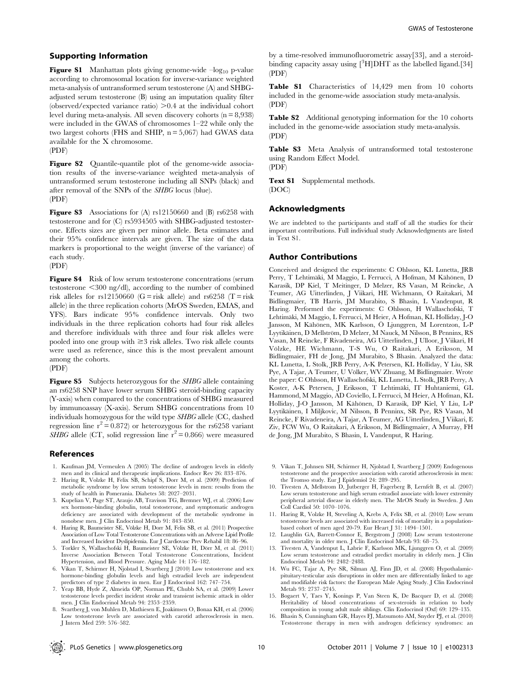### Supporting Information

**Figure S1** Manhattan plots giving genome-wide  $-\log_{10}$  p-value according to chromosomal location for inverse-variance weighted meta-analysis of untransformed serum testosterone (A) and SHBGadjusted serum testosterone (B) using an imputation quality filter (observed/expected variance ratio)  $>0.4$  at the individual cohort level during meta-analysis. All seven discovery cohorts  $(n = 8.938)$ were included in the GWAS of chromosomes 1–22 while only the two largest cohorts (FHS and SHIP,  $n = 5,067$ ) had GWAS data available for the X chromosome.

(PDF)

Figure S2 Quantile-quantile plot of the genome-wide association results of the inverse-variance weighted meta-analysis of untransformed serum testosterone including all SNPs (black) and after removal of the SNPs of the SHBG locus (blue). (PDF)

Figure S3 Associations for (A) rs12150660 and (B) rs6258 with testosterone and for (C) rs5934505 with SHBG-adjusted testosterone. Effects sizes are given per minor allele. Beta estimates and their 95% confidence intervals are given. The size of the data markers is proportional to the weight (inverse of the variance) of each study. (PDF)

Figure S4 Risk of low serum testosterone concentrations (serum testosterone  $\leq 300$  ng/dl), according to the number of combined risk alleles for rs12150660 (G = risk allele) and rs6258 (T = risk allele) in the three replication cohorts (MrOS Sweden, EMAS, and YFS). Bars indicate 95% confidence intervals. Only two individuals in the three replication cohorts had four risk alleles and therefore individuals with three and four risk alleles were pooled into one group with  $\geq$ 3 risk alleles. Two risk allele counts were used as reference, since this is the most prevalent amount among the cohorts.

(PDF)

Figure S5 Subjects heterozygous for the SHBG allele containing an rs6258 SNP have lower serum SHBG steroid-binding capacity (Y-axis) when compared to the concentrations of SHBG measured by immunoassay (X-axis). Serum SHBG concentrations from 10 individuals homozygous for the wild type SHBG allele (CC, dashed regression line  $r^2 = 0.872$  or heterozygous for the rs6258 variant *SHBG* allele (CT, solid regression line  $r^2 = 0.866$ ) were measured

#### References

- 1. Kaufman JM, Vermeulen A (2005) The decline of androgen levels in elderly men and its clinical and therapeutic implications. Endocr Rev 26: 833–876.
- 2. Haring R, Volzke H, Felix SB, Schipf S, Dorr M, et al. (2009) Prediction of metabolic syndrome by low serum testosterone levels in men: results from the study of health in Pomerania. Diabetes 58: 2027–2031.
- 3. Kupelian V, Page ST, Araujo AB, Travison TG, Bremner WJ, et al. (2006) Low sex hormone-binding globulin, total testosterone, and symptomatic androgen deficiency are associated with development of the metabolic syndrome in nonobese men. J Clin Endocrinol Metab 91: 843–850.
- 4. Haring R, Baumeister SE, Völzke H, Dorr M, Felix SB, et al. (2011) Prospective Association of Low Total Testosterone Concentrations with an Adverse Lipid Profile and Increased Incident Dyslipidemia. Eur J Cardiovasc Prev Rehabil 18: 86–96.
- 5. Torkler S, Wallaschofski H, Baumeister SE, Völzke H, Dörr M, et al. (2011) Inverse Association Between Total Testosterone Concentrations, Incident Hypertension, and Blood Pressure. Aging Male 14: 176–182.
- 6. Vikan T, Schirmer H, Njolstad I, Svartberg J (2010) Low testosterone and sex hormone-binding globulin levels and high estradiol levels are independent
- predictors of type 2 diabetes in men. Eur J Endocrinol 162: 747–754. 7. Yeap BB, Hyde Z, Almeida OP, Norman PE, Chubb SA, et al. (2009) Lower testosterone levels predict incident stroke and transient ischemic attack in older men. J Clin Endocrinol Metab 94: 2353–2359.
- 8. Svartberg J, von Muhlen D, Mathiesen E, Joakimsen O, Bonaa KH, et al. (2006) Low testosterone levels are associated with carotid atherosclerosis in men. J Intern Med 259: 576–582.

by a time-resolved immunofluorometric assay[33], and a steroidbinding capacity assay using  $[^3H]$ DHT as the labelled ligand.[34] (PDF)

Table S1 Characteristics of 14,429 men from 10 cohorts included in the genome-wide association study meta-analysis. (PDF)

Table S2 Additional genotyping information for the 10 cohorts included in the genome-wide association study meta-analysis. (PDF)

Table S3 Meta Analysis of untransformed total testosterone using Random Effect Model. (PDF)

Text S1 Supplemental methods. (DOC)

#### Acknowledgments

We are indebted to the participants and staff of all the studies for their important contributions. Full individual study Acknowledgments are listed in Text S1.

#### Author Contributions

Conceived and designed the experiments: C Ohlsson, KL Lunetta, JRB Perry, T Lehtimäki, M Maggio, L Ferrucci, A Hofman, M Kähönen, D Karasik, DP Kiel, T Meitinger, D Melzer, RS Vasan, M Reincke, A Teumer, AG Uitterlinden, J Viikari, HE Wichmann, O Raitakari, M Bidlingmaier, TB Harris, JM Murabito, S Bhasin, L Vandenput, R Haring. Performed the experiments: C Ohlsson, H Wallaschofski, T Lehtimäki, M Maggio, L Ferrucci, M Heier, A Hofman, KL Holliday, J-O Jansson, M Kähönen, MK Karlsson, Ö Ljunggren, M Lorentzon, L-P Lyytikäinen, D Mellström, D Melzer, M Nauck, M Nilsson, B Penninx, RS Vasan, M Reincke, F Rivadeneira, AG Uitterlinden, J Ulloor, J Viikari, H Vo¨lzke, HE Wichmann, T-S Wu, O Raitakari, A Eriksson, M Bidlingmaier, FH de Jong, JM Murabito, S Bhasin. Analyzed the data: KL Lunetta, L Stolk, JRB Perry, A-K Petersen, KL Holliday, Y Liu, SR Pye, A Tajar, A Teumer, U Völker, WV Zhuang, M Bidlingmaier. Wrote the paper: C Ohlsson, H Wallaschofski, KL Lunetta, L Stolk, JRB Perry, A Koster, A-K Petersen, J Eriksson, T Lehtimäki, IT Huhtaniemi, GL Hammond, M Maggio, AD Coviello, L Ferrucci, M Heier, A Hofman, KL Holliday, J-O Jansson, M Kähönen, D Karasik, DP Kiel, Y Liu, L-P Lyytika¨inen, I Miljkovic, M Nilsson, B Penninx, SR Pye, RS Vasan, M Reincke, F Rivadeneira, A Tajar, A Teumer, AG Uitterlinden, J Viikari, E Ziv, FCW Wu, O Raitakari, A Eriksson, M Bidlingmaier, A Murray, FH de Jong, JM Murabito, S Bhasin, L Vandenput, R Haring.

- 9. Vikan T, Johnsen SH, Schirmer H, Njolstad I, Svartberg J (2009) Endogenous testosterone and the prospective association with carotid atherosclerosis in men: the Tromso study. Eur J Epidemiol 24: 289–295.
- 10. Tivesten A, Mellstrom D, Jutberger H, Fagerberg B, Lernfelt B, et al. (2007) Low serum testosterone and high serum estradiol associate with lower extremity peripheral arterial disease in elderly men. The MrOS Study in Sweden. J Am Coll Cardiol 50: 1070–1076.
- 11. Haring R, Volzke H, Steveling A, Krebs A, Felix SB, et al. (2010) Low serum testosterone levels are associated with increased risk of mortality in a populationbased cohort of men aged 20-79. Eur Heart J 31: 1494–1501.
- 12. Laughlin GA, Barrett-Connor E, Bergstrom J (2008) Low serum testosterone and mortality in older men. J Clin Endocrinol Metab 93: 68–75.
- 13. Tivesten A, Vandenput L, Labrie F, Karlsson MK, Ljunggren O, et al. (2009) Low serum testosterone and estradiol predict mortality in elderly men. J Clin Endocrinol Metab 94: 2482–2488.
- 14. Wu FC, Tajar A, Pye SR, Silman AJ, Finn JD, et al. (2008) Hypothalamicpituitary-testicular axis disruptions in older men are differentially linked to age and modifiable risk factors: the European Male Aging Study. J Clin Endocrinol Metab 93: 2737–2745.
- 15. Bogaert V, Taes Y, Konings P, Van Steen K, De Bacquer D, et al. (2008) Heritability of blood concentrations of sex-steroids in relation to body composition in young adult male siblings. Clin Endocrinol (Oxf) 69: 129–135.
- 16. Bhasin S, Cunningham GR, Hayes FJ, Matsumoto AM, Snyder PJ, et al. (2010) Testosterone therapy in men with androgen deficiency syndromes: an